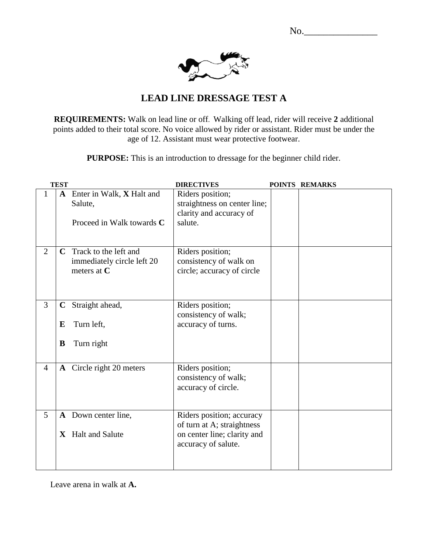No.\_\_\_\_\_\_\_\_\_\_\_\_\_\_\_



## **LEAD LINE DRESSAGE TEST A**

**REQUIREMENTS:** Walk on lead line or off. Walking off lead, rider will receive **2** additional points added to their total score. No voice allowed by rider or assistant. Rider must be under the age of 12. Assistant must wear protective footwear.

**PURPOSE:** This is an introduction to dressage for the beginner child rider.

|                | <b>TEST</b>                                                                   | <b>DIRECTIVES</b>                                                                                             | POINTS REMARKS |
|----------------|-------------------------------------------------------------------------------|---------------------------------------------------------------------------------------------------------------|----------------|
| $\mathbf{1}$   | A Enter in Walk, X Halt and<br>Salute,<br>Proceed in Walk towards C           | Riders position;<br>straightness on center line;<br>clarity and accuracy of<br>salute.                        |                |
| $\overline{2}$ | <b>C</b> Track to the left and<br>immediately circle left 20<br>meters at $C$ | Riders position;<br>consistency of walk on<br>circle; accuracy of circle                                      |                |
| 3              | Straight ahead,<br>$\mathbf C$<br>Turn left,<br>E<br>Turn right<br>B          | Riders position;<br>consistency of walk;<br>accuracy of turns.                                                |                |
| $\overline{4}$ | A Circle right 20 meters                                                      | Riders position;<br>consistency of walk;<br>accuracy of circle.                                               |                |
| 5              | A Down center line,<br>X Halt and Salute                                      | Riders position; accuracy<br>of turn at A; straightness<br>on center line; clarity and<br>accuracy of salute. |                |

Leave arena in walk at **A.**